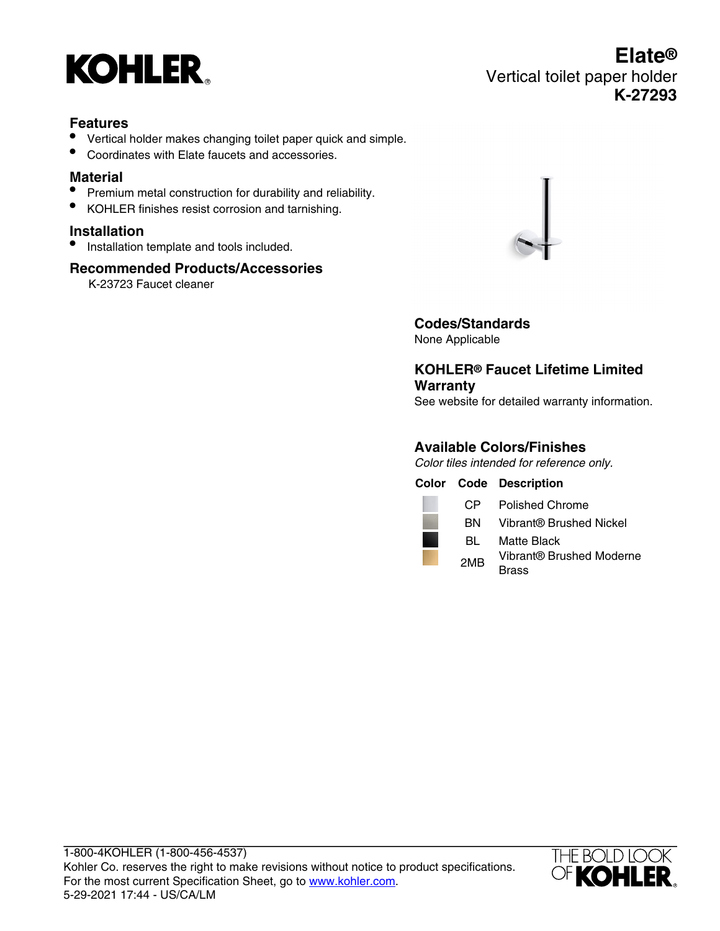

#### **Features**

- Vertical holder makes changing toilet paper quick and simple.
- Coordinates with Elate faucets and accessories.

#### **Material**

- Premium metal construction for durability and reliability.
- KOHLER finishes resist corrosion and tarnishing.

#### **Installation**

• Installation template and tools included.

#### **Recommended Products/Accessories**

K-23723 Faucet cleaner



**Codes/Standards** None Applicable

#### **KOHLER® Faucet Lifetime Limited Warranty**

See website for detailed warranty information.

#### **Available Colors/Finishes**

Color tiles intended for reference only.

|                 | <b>Color Code Description</b>    |
|-----------------|----------------------------------|
|                 | CP Polished Chrome               |
| <b>BN</b>       | Vibrant® Brushed Nickel          |
| BL              | Matte Black                      |
| 2M <sub>R</sub> | Vibrant® Brushed Moderne<br>rass |